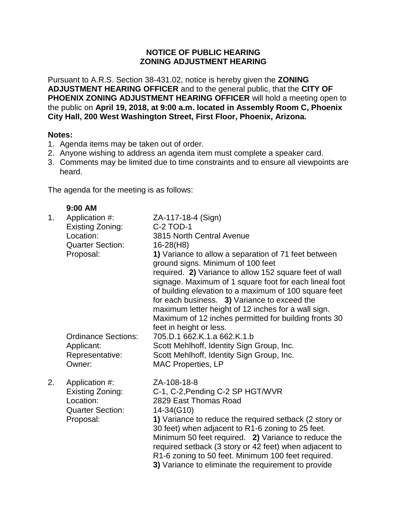## **NOTICE OF PUBLIC HEARING ZONING ADJUSTMENT HEARING**

Pursuant to A.R.S. Section 38-431.02, notice is hereby given the **ZONING ADJUSTMENT HEARING OFFICER** and to the general public, that the **CITY OF PHOENIX ZONING ADJUSTMENT HEARING OFFICER** will hold a meeting open to the public on **April 19, 2018, at 9:00 a.m. located in Assembly Room C, Phoenix City Hall, 200 West Washington Street, First Floor, Phoenix, Arizona.**

## **Notes:**

- 1. Agenda items may be taken out of order.
- 2. Anyone wishing to address an agenda item must complete a speaker card.
- 3. Comments may be limited due to time constraints and to ensure all viewpoints are heard.

The agenda for the meeting is as follows:

|    | $9:00$ AM                                                                               |                                                                                                                                                                                                                                                                                                                                                                                                                                                                                  |
|----|-----------------------------------------------------------------------------------------|----------------------------------------------------------------------------------------------------------------------------------------------------------------------------------------------------------------------------------------------------------------------------------------------------------------------------------------------------------------------------------------------------------------------------------------------------------------------------------|
| 1. | Application #:<br>Existing Zoning:                                                      | ZA-117-18-4 (Sign)<br><b>C-2 TOD-1</b>                                                                                                                                                                                                                                                                                                                                                                                                                                           |
|    | Location:                                                                               | 3815 North Central Avenue                                                                                                                                                                                                                                                                                                                                                                                                                                                        |
|    | <b>Quarter Section:</b><br>Proposal:                                                    | $16-28(H8)$<br>1) Variance to allow a separation of 71 feet between<br>ground signs. Minimum of 100 feet<br>required. 2) Variance to allow 152 square feet of wall<br>signage. Maximum of 1 square foot for each lineal foot<br>of building elevation to a maximum of 100 square feet<br>for each business. 3) Variance to exceed the<br>maximum letter height of 12 inches for a wall sign.<br>Maximum of 12 inches permitted for building fronts 30<br>feet in height or less. |
|    | <b>Ordinance Sections:</b><br>Applicant:<br>Representative:<br>Owner:                   | 705.D.1 662.K.1.a 662.K.1.b<br>Scott Mehlhoff, Identity Sign Group, Inc.<br>Scott Mehlhoff, Identity Sign Group, Inc.<br><b>MAC Properties, LP</b>                                                                                                                                                                                                                                                                                                                               |
| 2. | Application #:<br>Existing Zoning:<br>Location:<br><b>Quarter Section:</b><br>Proposal: | ZA-108-18-8<br>C-1, C-2, Pending C-2 SP HGT/WVR<br>2829 East Thomas Road<br>14-34(G10)<br>1) Variance to reduce the required setback (2 story or<br>30 feet) when adjacent to R1-6 zoning to 25 feet.<br>Minimum 50 feet required. 2) Variance to reduce the<br>required setback (3 story or 42 feet) when adjacent to<br>R1-6 zoning to 50 feet. Minimum 100 feet required.<br>3) Variance to eliminate the requirement to provide                                              |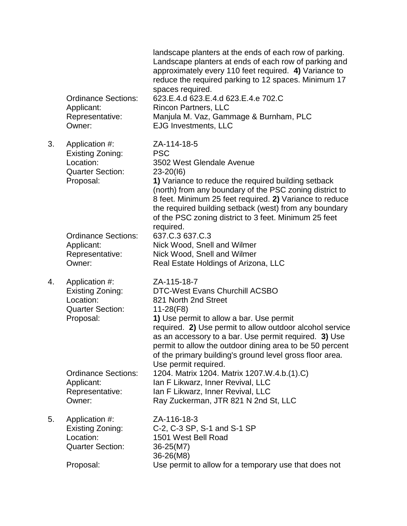|    | <b>Ordinance Sections:</b><br>Applicant:<br>Representative:<br>Owner:                   | landscape planters at the ends of each row of parking.<br>Landscape planters at ends of each row of parking and<br>approximately every 110 feet required. 4) Variance to<br>reduce the required parking to 12 spaces. Minimum 17<br>spaces required.<br>623.E.4.d 623.E.4.d 623.E.4.e 702.C<br><b>Rincon Partners, LLC</b><br>Manjula M. Vaz, Gammage & Burnham, PLC<br><b>EJG Investments, LLC</b>          |
|----|-----------------------------------------------------------------------------------------|--------------------------------------------------------------------------------------------------------------------------------------------------------------------------------------------------------------------------------------------------------------------------------------------------------------------------------------------------------------------------------------------------------------|
| 3. | Application #:<br>Existing Zoning:<br>Location:<br><b>Quarter Section:</b><br>Proposal: | ZA-114-18-5<br><b>PSC</b><br>3502 West Glendale Avenue<br>$23 - 20(16)$<br>1) Variance to reduce the required building setback<br>(north) from any boundary of the PSC zoning district to<br>8 feet. Minimum 25 feet required. 2) Variance to reduce<br>the required building setback (west) from any boundary<br>of the PSC zoning district to 3 feet. Minimum 25 feet<br>required.                         |
|    | <b>Ordinance Sections:</b><br>Applicant:<br>Representative:<br>Owner:                   | 637.C.3 637.C.3<br>Nick Wood, Snell and Wilmer<br>Nick Wood, Snell and Wilmer<br>Real Estate Holdings of Arizona, LLC                                                                                                                                                                                                                                                                                        |
| 4. | Application #:<br>Existing Zoning:<br>Location:<br><b>Quarter Section:</b><br>Proposal: | ZA-115-18-7<br><b>DTC-West Evans Churchill ACSBO</b><br>821 North 2nd Street<br>$11-28(F8)$<br>1) Use permit to allow a bar. Use permit<br>required. 2) Use permit to allow outdoor alcohol service<br>as an accessory to a bar. Use permit required. 3) Use<br>permit to allow the outdoor dining area to be 50 percent<br>of the primary building's ground level gross floor area.<br>Use permit required. |
|    | <b>Ordinance Sections:</b><br>Applicant:<br>Representative:<br>Owner:                   | 1204. Matrix 1204. Matrix 1207.W.4.b.(1).C)<br>Ian F Likwarz, Inner Revival, LLC<br>Ian F Likwarz, Inner Revival, LLC<br>Ray Zuckerman, JTR 821 N 2nd St, LLC                                                                                                                                                                                                                                                |
| 5. | Application #:<br>Existing Zoning:<br>Location:<br><b>Quarter Section:</b>              | ZA-116-18-3<br>C-2, C-3 SP, S-1 and S-1 SP<br>1501 West Bell Road<br>36-25(M7)<br>36-26(M8)                                                                                                                                                                                                                                                                                                                  |
|    | Proposal:                                                                               | Use permit to allow for a temporary use that does not                                                                                                                                                                                                                                                                                                                                                        |
|    |                                                                                         |                                                                                                                                                                                                                                                                                                                                                                                                              |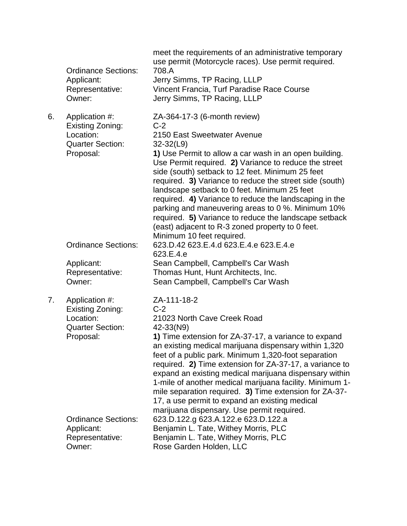|    | <b>Ordinance Sections:</b><br>Applicant:<br>Representative:<br>Owner:                   | meet the requirements of an administrative temporary<br>use permit (Motorcycle races). Use permit required.<br>708.A<br>Jerry Simms, TP Racing, LLLP<br>Vincent Francia, Turf Paradise Race Course<br>Jerry Simms, TP Racing, LLLP                                                                                                                                                                                                                                                                                                                                                                                               |
|----|-----------------------------------------------------------------------------------------|----------------------------------------------------------------------------------------------------------------------------------------------------------------------------------------------------------------------------------------------------------------------------------------------------------------------------------------------------------------------------------------------------------------------------------------------------------------------------------------------------------------------------------------------------------------------------------------------------------------------------------|
| 6. | Application #:<br>Existing Zoning:<br>Location:<br><b>Quarter Section:</b><br>Proposal: | ZA-364-17-3 (6-month review)<br>$C-2$<br>2150 East Sweetwater Avenue<br>$32 - 32(L9)$<br>1) Use Permit to allow a car wash in an open building.<br>Use Permit required. 2) Variance to reduce the street<br>side (south) setback to 12 feet. Minimum 25 feet<br>required. 3) Variance to reduce the street side (south)<br>landscape setback to 0 feet. Minimum 25 feet<br>required. 4) Variance to reduce the landscaping in the<br>parking and maneuvering areas to 0 %. Minimum 10%<br>required. 5) Variance to reduce the landscape setback<br>(east) adjacent to R-3 zoned property to 0 feet.<br>Minimum 10 feet required. |
|    | <b>Ordinance Sections:</b>                                                              | 623.D.42 623.E.4.d 623.E.4.e 623.E.4.e<br>623.E.4.e                                                                                                                                                                                                                                                                                                                                                                                                                                                                                                                                                                              |
|    | Applicant:<br>Representative:<br>Owner:                                                 | Sean Campbell, Campbell's Car Wash<br>Thomas Hunt, Hunt Architects, Inc.<br>Sean Campbell, Campbell's Car Wash                                                                                                                                                                                                                                                                                                                                                                                                                                                                                                                   |
| 7. | Application #:<br>Existing Zoning:<br>Location:<br><b>Quarter Section:</b><br>Proposal: | ZA-111-18-2<br>$C-2$<br>21023 North Cave Creek Road<br>42-33(N9)<br>1) Time extension for ZA-37-17, a variance to expand<br>an existing medical marijuana dispensary within 1,320<br>feet of a public park. Minimum 1,320-foot separation<br>required. 2) Time extension for ZA-37-17, a variance to<br>expand an existing medical marijuana dispensary within<br>1-mile of another medical marijuana facility. Minimum 1-<br>mile separation required. 3) Time extension for ZA-37-<br>17, a use permit to expand an existing medical<br>marijuana dispensary. Use permit required.                                             |
|    | <b>Ordinance Sections:</b><br>Applicant:<br>Representative:<br>Owner:                   | 623.D.122.g 623.A.122.e 623.D.122.a<br>Benjamin L. Tate, Withey Morris, PLC<br>Benjamin L. Tate, Withey Morris, PLC<br>Rose Garden Holden, LLC                                                                                                                                                                                                                                                                                                                                                                                                                                                                                   |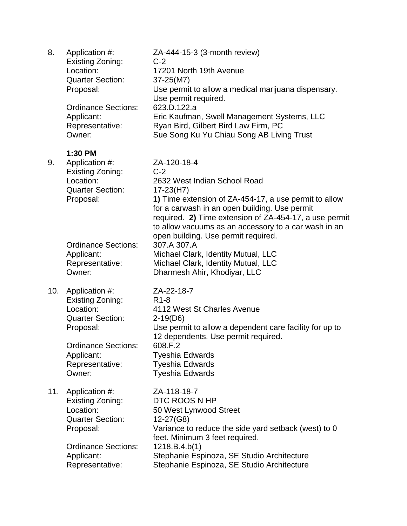| 8.  | Application #:<br><b>Existing Zoning:</b><br>Location:<br><b>Quarter Section:</b><br>Proposal:<br><b>Ordinance Sections:</b><br>Applicant:<br>Representative:<br>Owner: | ZA-444-15-3 (3-month review)<br>$C-2$<br>17201 North 19th Avenue<br>37-25(M7)<br>Use permit to allow a medical marijuana dispensary.<br>Use permit required.<br>623.D.122.a<br>Eric Kaufman, Swell Management Systems, LLC<br>Ryan Bird, Gilbert Bird Law Firm, PC<br>Sue Song Ku Yu Chiau Song AB Living Trust                                                                              |
|-----|-------------------------------------------------------------------------------------------------------------------------------------------------------------------------|----------------------------------------------------------------------------------------------------------------------------------------------------------------------------------------------------------------------------------------------------------------------------------------------------------------------------------------------------------------------------------------------|
| 9.  | 1:30 PM<br>Application #:<br>Existing Zoning:<br>Location:<br><b>Quarter Section:</b>                                                                                   | ZA-120-18-4<br>$C-2$<br>2632 West Indian School Road<br>$17 - 23(H7)$                                                                                                                                                                                                                                                                                                                        |
|     | Proposal:<br><b>Ordinance Sections:</b><br>Applicant:<br>Representative:<br>Owner:                                                                                      | 1) Time extension of ZA-454-17, a use permit to allow<br>for a carwash in an open building. Use permit<br>required. 2) Time extension of ZA-454-17, a use permit<br>to allow vacuums as an accessory to a car wash in an<br>open building. Use permit required.<br>307.A 307.A<br>Michael Clark, Identity Mutual, LLC<br>Michael Clark, Identity Mutual, LLC<br>Dharmesh Ahir, Khodiyar, LLC |
| 10. | Application #:<br>Existing Zoning:<br>Location:<br><b>Quarter Section:</b><br>Proposal:<br><b>Ordinance Sections:</b><br>Applicant:<br>Representative:<br>Owner:        | ZA-22-18-7<br>R <sub>1</sub> -8<br>4112 West St Charles Avenue<br>$2-19(D6)$<br>Use permit to allow a dependent care facility for up to<br>12 dependents. Use permit required.<br>608.F.2<br><b>Tyeshia Edwards</b><br><b>Tyeshia Edwards</b><br><b>Tyeshia Edwards</b>                                                                                                                      |
| 11. | Application #:<br>Existing Zoning:<br>Location:<br><b>Quarter Section:</b><br>Proposal:<br><b>Ordinance Sections:</b><br>Applicant:<br>Representative:                  | ZA-118-18-7<br>DTC ROOS N HP<br>50 West Lynwood Street<br>12-27(G8)<br>Variance to reduce the side yard setback (west) to 0<br>feet. Minimum 3 feet required.<br>1218.B.4.b(1)<br>Stephanie Espinoza, SE Studio Architecture<br>Stephanie Espinoza, SE Studio Architecture                                                                                                                   |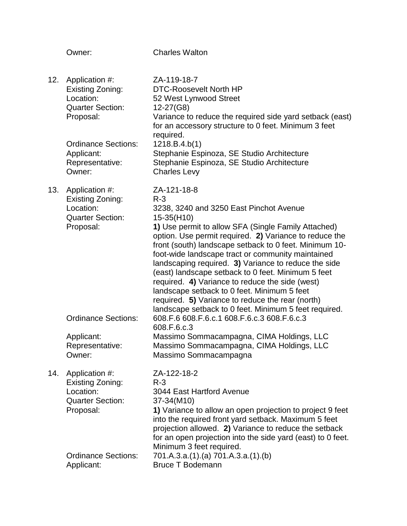|     | Owner:                                                                                  | <b>Charles Walton</b>                                                                                                                                                                                                                                                                                                                                                                                                                                                                                                                                                                                                                        |
|-----|-----------------------------------------------------------------------------------------|----------------------------------------------------------------------------------------------------------------------------------------------------------------------------------------------------------------------------------------------------------------------------------------------------------------------------------------------------------------------------------------------------------------------------------------------------------------------------------------------------------------------------------------------------------------------------------------------------------------------------------------------|
| 12. | Application #:<br>Existing Zoning:<br>Location:<br><b>Quarter Section:</b><br>Proposal: | ZA-119-18-7<br><b>DTC-Roosevelt North HP</b><br>52 West Lynwood Street<br>12-27(G8)<br>Variance to reduce the required side yard setback (east)<br>for an accessory structure to 0 feet. Minimum 3 feet<br>required.                                                                                                                                                                                                                                                                                                                                                                                                                         |
|     | <b>Ordinance Sections:</b><br>Applicant:<br>Representative:<br>Owner:                   | 1218.B.4.b(1)<br>Stephanie Espinoza, SE Studio Architecture<br>Stephanie Espinoza, SE Studio Architecture<br><b>Charles Levy</b>                                                                                                                                                                                                                                                                                                                                                                                                                                                                                                             |
| 13. | Application #:<br>Existing Zoning:<br>Location:<br><b>Quarter Section:</b><br>Proposal: | ZA-121-18-8<br>$R - 3$<br>3238, 3240 and 3250 East Pinchot Avenue<br>15-35(H10)<br>1) Use permit to allow SFA (Single Family Attached)<br>option. Use permit required. 2) Variance to reduce the<br>front (south) landscape setback to 0 feet. Minimum 10-<br>foot-wide landscape tract or community maintained<br>landscaping required. 3) Variance to reduce the side<br>(east) landscape setback to 0 feet. Minimum 5 feet<br>required. 4) Variance to reduce the side (west)<br>landscape setback to 0 feet. Minimum 5 feet<br>required. 5) Variance to reduce the rear (north)<br>landscape setback to 0 feet. Minimum 5 feet required. |
|     | <b>Ordinance Sections:</b><br>Applicant:<br>Representative:<br>Owner:                   | 608.F.6 608.F.6.c.1 608.F.6.c.3 608.F.6.c.3<br>608.F.6.c.3<br>Massimo Sommacampagna, CIMA Holdings, LLC<br>Massimo Sommacampagna, CIMA Holdings, LLC<br>Massimo Sommacampagna                                                                                                                                                                                                                                                                                                                                                                                                                                                                |
| 14. | Application #:<br>Existing Zoning:<br>Location:<br><b>Quarter Section:</b><br>Proposal: | ZA-122-18-2<br>$R - 3$<br>3044 East Hartford Avenue<br>37-34(M10)<br>1) Variance to allow an open projection to project 9 feet                                                                                                                                                                                                                                                                                                                                                                                                                                                                                                               |
|     | <b>Ordinance Sections:</b><br>Applicant:                                                | into the required front yard setback. Maximum 5 feet<br>projection allowed. 2) Variance to reduce the setback<br>for an open projection into the side yard (east) to 0 feet.<br>Minimum 3 feet required.<br>701.A.3.a.(1).(a) 701.A.3.a.(1).(b)<br><b>Bruce T Bodemann</b>                                                                                                                                                                                                                                                                                                                                                                   |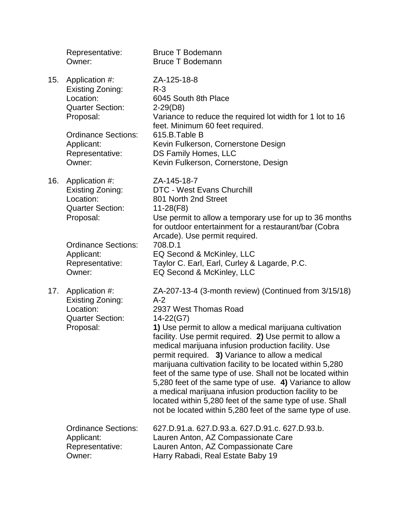|     | Representative:<br>Owner:                                                                                                                                        | <b>Bruce T Bodemann</b><br><b>Bruce T Bodemann</b>                                                                                                                                                                                                                                                                                                                                                                                                                                                                                                                                                                                                                                                           |
|-----|------------------------------------------------------------------------------------------------------------------------------------------------------------------|--------------------------------------------------------------------------------------------------------------------------------------------------------------------------------------------------------------------------------------------------------------------------------------------------------------------------------------------------------------------------------------------------------------------------------------------------------------------------------------------------------------------------------------------------------------------------------------------------------------------------------------------------------------------------------------------------------------|
| 15. | Application #:<br>Existing Zoning:<br>Location:<br><b>Quarter Section:</b><br>Proposal:<br><b>Ordinance Sections:</b><br>Applicant:<br>Representative:<br>Owner: | ZA-125-18-8<br>$R - 3$<br>6045 South 8th Place<br>$2-29(D8)$<br>Variance to reduce the required lot width for 1 lot to 16<br>feet. Minimum 60 feet required.<br>615.B.Table B<br>Kevin Fulkerson, Cornerstone Design<br>DS Family Homes, LLC<br>Kevin Fulkerson, Cornerstone, Design                                                                                                                                                                                                                                                                                                                                                                                                                         |
| 16. | Application #:<br>Existing Zoning:<br>Location:<br><b>Quarter Section:</b><br>Proposal:                                                                          | ZA-145-18-7<br><b>DTC - West Evans Churchill</b><br>801 North 2nd Street<br>$11-28(F8)$<br>Use permit to allow a temporary use for up to 36 months<br>for outdoor entertainment for a restaurant/bar (Cobra<br>Arcade). Use permit required.                                                                                                                                                                                                                                                                                                                                                                                                                                                                 |
|     | <b>Ordinance Sections:</b><br>Applicant:<br>Representative:<br>Owner:                                                                                            | 708.D.1<br>EQ Second & McKinley, LLC<br>Taylor C. Earl, Earl, Curley & Lagarde, P.C.<br>EQ Second & McKinley, LLC                                                                                                                                                                                                                                                                                                                                                                                                                                                                                                                                                                                            |
| 17. | Application #:<br>Existing Zoning:<br>Location:<br><b>Quarter Section:</b><br>Proposal:                                                                          | ZA-207-13-4 (3-month review) (Continued from 3/15/18)<br>$A-2$<br>2937 West Thomas Road<br>14-22(G7)<br>1) Use permit to allow a medical marijuana cultivation<br>facility. Use permit required. 2) Use permit to allow a<br>medical marijuana infusion production facility. Use<br>permit required. 3) Variance to allow a medical<br>marijuana cultivation facility to be located within 5,280<br>feet of the same type of use. Shall not be located within<br>5,280 feet of the same type of use. 4) Variance to allow<br>a medical marijuana infusion production facility to be<br>located within 5,280 feet of the same type of use. Shall<br>not be located within 5,280 feet of the same type of use. |
|     | <b>Ordinance Sections:</b><br>Applicant:<br>Representative:<br>Owner:                                                                                            | 627.D.91.a. 627.D.93.a. 627.D.91.c. 627.D.93.b.<br>Lauren Anton, AZ Compassionate Care<br>Lauren Anton, AZ Compassionate Care<br>Harry Rabadi, Real Estate Baby 19                                                                                                                                                                                                                                                                                                                                                                                                                                                                                                                                           |